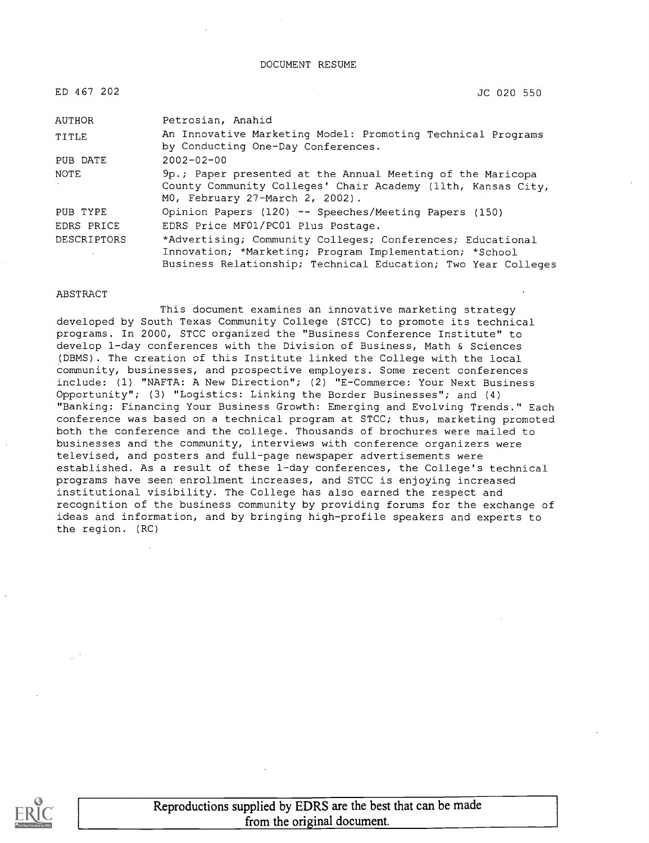#### DOCUMENT RESUME

| ED 467 202  | JC 020 550                                                                                                                                                                             |
|-------------|----------------------------------------------------------------------------------------------------------------------------------------------------------------------------------------|
| AUTHOR      | Petrosian, Anahid                                                                                                                                                                      |
| TITLE       | An Innovative Marketing Model: Promoting Technical Programs<br>by Conducting One-Day Conferences.                                                                                      |
| PUB DATE    | $2002 - 02 - 00$                                                                                                                                                                       |
| NOTE        | 9p.; Paper presented at the Annual Meeting of the Maricopa<br>County Community Colleges' Chair Academy (11th, Kansas City,<br>MO, February 27-March 2, 2002).                          |
| PUB TYPE    | Opinion Papers (120) -- Speeches/Meeting Papers (150)                                                                                                                                  |
| EDRS PRICE  | EDRS Price MF01/PC01 Plus Postage.                                                                                                                                                     |
| DESCRIPTORS | *Advertising; Community Colleges; Conferences; Educational<br>Innovation; *Marketing; Program Implementation; *School<br>Business Relationship; Technical Education; Two Year Colleges |

#### ABSTRACT

This document examines an innovative marketing strategy developed by South Texas Community College (STCC) to promote its technical programs. In 2000, STCC organized the "Business Conference Institute" to develop 1-day conferences with the Division of Business, Math & Sciences (DBMS). The creation of this Institute linked the College with the local community, businesses, and prospective employers. Some recent conferences include: (1) "NAFTA: A New Direction"; (2) "E-Commerce: Your Next Business Opportunity"; (3) "Logistics: Linking the Border Businesses"; and (4) "Banking: Financing Your Business Growth: Emerging and Evolving Trends." Each conference was based on a technical program at STCC; thus, marketing promoted both the conference and the college. Thousands of brochures were mailed to businesses and the community, interviews with conference organizers were televised, and posters and full-page newspaper advertisements were established. As a result of these 1-day conferences, the College's technical programs have seen enrollment increases, and STCC is enjoying increased institutional visibility. The College has also earned the respect and recognition of the business community by providing forums for the exchange of ideas and information, and by bringing high-profile speakers and experts to the region. (RC)



Reproductions supplied by EDRS are the best that can be made from the original document.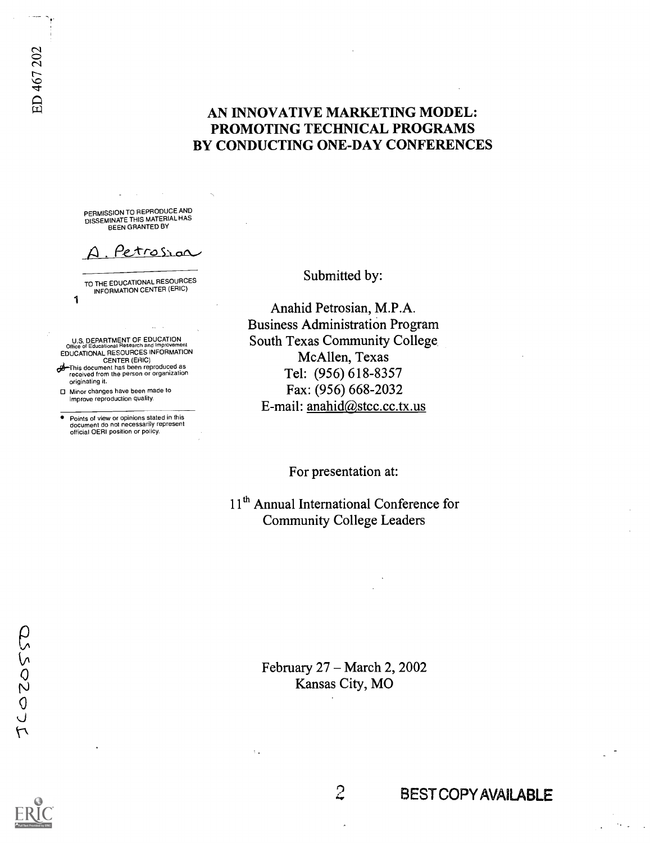## AN INNOVATIVE MARKETING MODEL: PROMOTING TECHNICAL PROGRAMS BY CONDUCTING ONE-DAY CONFERENCES

PERMISSION TO REPRODUCE AND DISSEMINATE THIS MATERIAL HAS BEEN GRANTED BY

Petrosrac

TO THE EDUCATIONAL RESOURCES INFORMATION CENTER (ERIC)

U.S. DEPARTMENT OF EDUCATION<br>Office of Educational Research and Improvement<br>EDUCATIONAL RESOURCES INFORMATION<br>CENTER (ERIC) diThis document has been reproduced as received from the person or organization originating it.

Minor changes have been made to improve reproduction quality.

1

Points of view or opinions stated in this document do not necessarily represent official OERI position or policy.

Submitted by:

Anahid Petrosian, M.P.A. Business Administration Program South Texas Community College. McAllen, Texas Tel: (956) 618-8357 Fax: (956) 668-2032 E-mail: anahid@stcc.cc.tx.us

For presentation at:

11<sup>th</sup> Annual International Conference for Community College Leaders

> February 27 - March 2, 2002 Kansas City, MO

> > $\overline{c}$

# BEST COPY AVAILABLE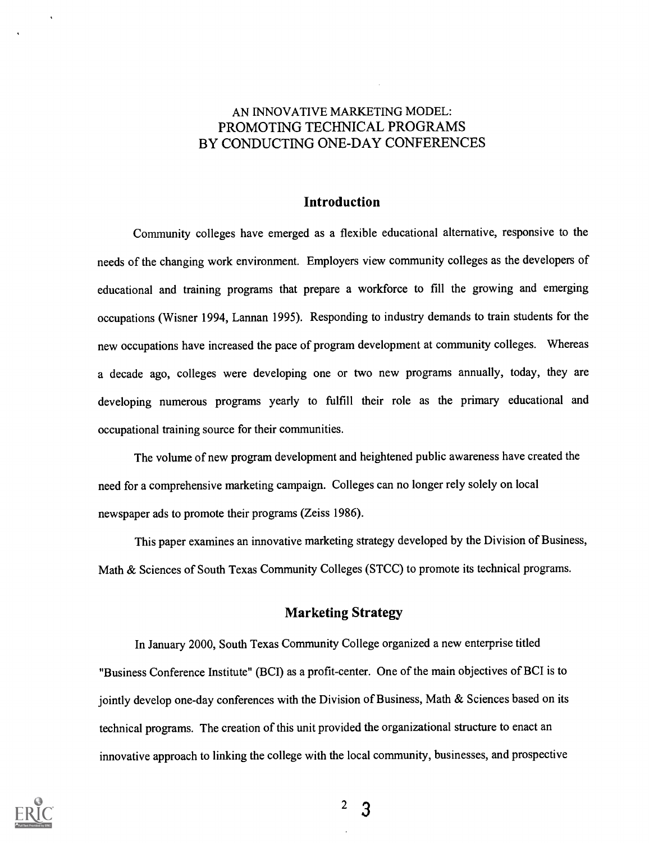## AN INNOVATIVE MARKETING MODEL: PROMOTING TECHNICAL PROGRAMS BY CONDUCTING ONE-DAY CONFERENCES

### Introduction

Community colleges have emerged as a flexible educational alternative, responsive to the needs of the changing work environment. Employers view community colleges as the developers of educational and training programs that prepare a workforce to fill the growing and emerging occupations (Wisner 1994, Lannan 1995). Responding to industry demands to train students for the new occupations have increased the pace of program development at community colleges. Whereas a decade ago, colleges were developing one or two new programs annually, today, they are developing numerous programs yearly to fulfill their role as the primary educational and occupational training source for their communities.

The volume of new program development and heightened public awareness have created the need for a comprehensive marketing campaign. Colleges can no longer rely solely on local newspaper ads to promote their programs (Zeiss 1986).

This paper examines an innovative marketing strategy developed by the Division of Business, Math & Sciences of South Texas Community Colleges (STCC) to promote its technical programs.

### Marketing Strategy

In January 2000, South Texas Community College organized a new enterprise titled "Business Conference Institute" (BCI) as a profit-center. One of the main objectives of BCI is to jointly develop one-day conferences with the Division of Business, Math & Sciences based on its technical programs. The creation of this unit provided the organizational structure to enact an innovative approach to linking the college with the local community, businesses, and prospective

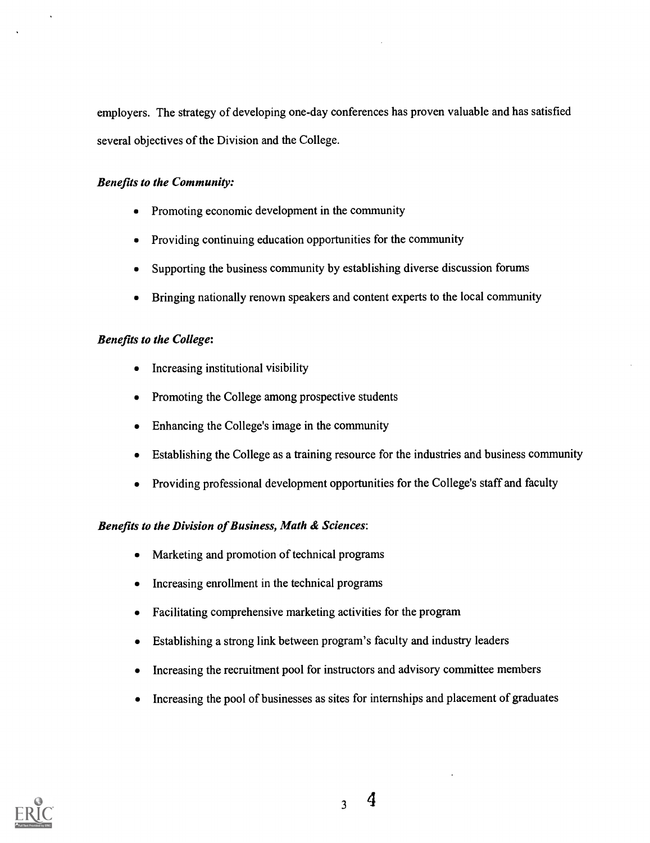employers. The strategy of developing one-day conferences has proven valuable and has satisfied several objectives of the Division and the College.

## Benefits to the Community:

- Promoting economic development in the community
- Providing continuing education opportunities for the community
- Supporting the business community by establishing diverse discussion forums
- Bringing nationally renown speakers and content experts to the local community

## Benefits to the College:

- Increasing institutional visibility
- Promoting the College among prospective students
- Enhancing the College's image in the community  $\bullet$
- Establishing the College as a training resource for the industries and business community  $\bullet$
- Providing professional development opportunities for the College's staff and faculty  $\bullet$

## Benefits to the Division of Business, Math & Sciences:

- Marketing and promotion of technical programs
- Increasing enrollment in the technical programs  $\bullet$
- Facilitating comprehensive marketing activities for the program  $\bullet$
- Establishing a strong link between program's faculty and industry leaders  $\blacksquare$
- Increasing the recruitment pool for instructors and advisory committee members  $\bullet$
- Increasing the pool of businesses as sites for internships and placement of graduates  $\bullet$

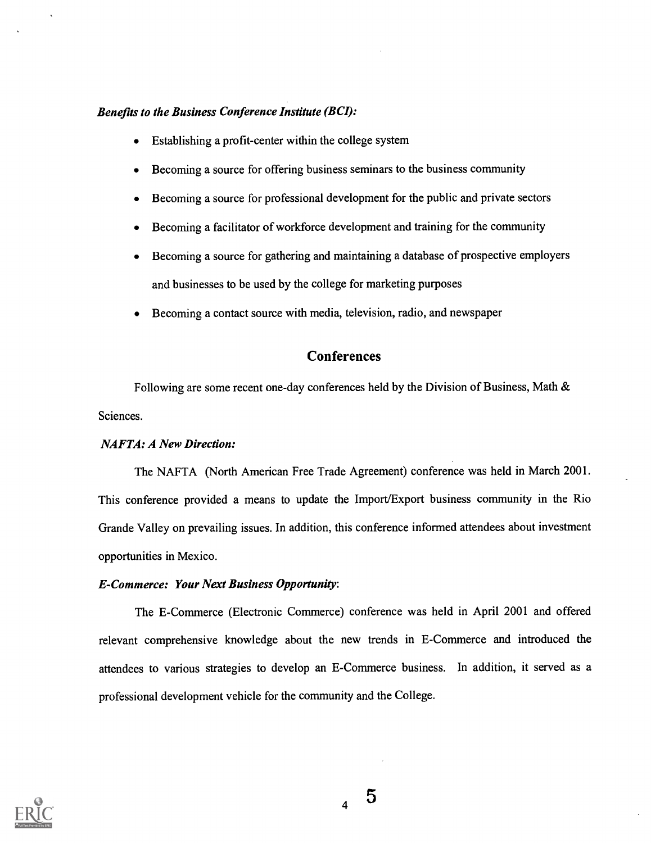#### Benefits to the Business Conference Institute (BCI):

- Establishing a profit-center within the college system  $\bullet$
- Becoming a source for offering business seminars to the business community  $\bullet$
- Becoming a source for professional development for the public and private sectors  $\bullet$
- Becoming a facilitator of workforce development and training for the community
- Becoming a source for gathering and maintaining a database of prospective employers and businesses to be used by the college for marketing purposes
- Becoming a contact source with media, television, radio, and newspaper

### Conferences

Following are some recent one-day conferences held by the Division of Business, Math & Sciences.

#### NAFTA: A New Direction:

The NAFTA (North American Free Trade Agreement) conference was held in March 2001. This conference provided a means to update the Import/Export business community in the Rio Grande Valley on prevailing issues. In addition, this conference informed attendees about investment opportunities in Mexico.

#### E-Commerce: Your Next Business Opportunity:

The E-Commerce (Electronic Commerce) conference was held in April 2001 and offered relevant comprehensive knowledge about the new trends in E-Commerce and introduced the attendees to various strategies to develop an E-Commerce business. In addition, it served as a professional development vehicle for the community and the College.

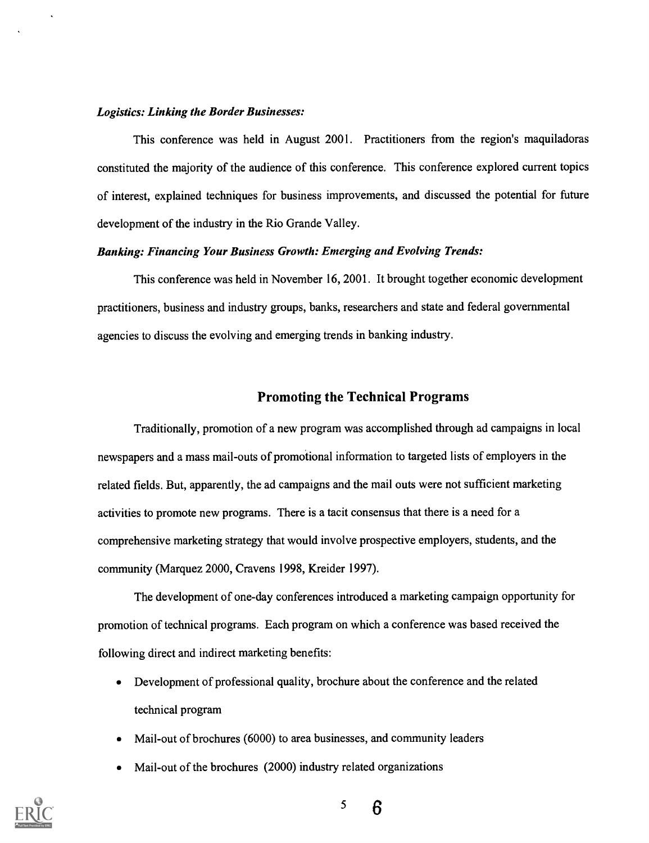#### Logistics: Linking the Border Businesses:

This conference was held in August 2001. Practitioners from the region's maquiladoras constituted the majority of the audience of this conference. This conference explored current topics of interest, explained techniques for business improvements, and discussed the potential for future development of the industry in the Rio Grande Valley.

#### Banking: Financing Your Business Growth: Emerging and Evolving Trends:

This conference was held in November 16, 2001. It brought together economic development practitioners, business and industry groups, banks, researchers and state and federal governmental agencies to discuss the evolving and emerging trends in banking industry.

### Promoting the Technical Programs

Traditionally, promotion of a new program was accomplished through ad campaigns in local newspapers and a mass mail-outs of promotional information to targeted lists of employers in the related fields. But, apparently, the ad campaigns and the mail outs were not sufficient marketing activities to promote new programs. There is a tacit consensus that there is a need for a comprehensive marketing strategy that would involve prospective employers, students, and the community (Marquez 2000, Cravens 1998, Kreider 1997).

The development of one-day conferences introduced a marketing campaign opportunity for promotion of technical programs. Each program on which a conference was based received the following direct and indirect marketing benefits:

- Development of professional quality, brochure about the conference and the related technical program
- Mail-out of brochures (6000) to area businesses, and community leaders
- Mail-out of the brochures (2000) industry related organizations



5

6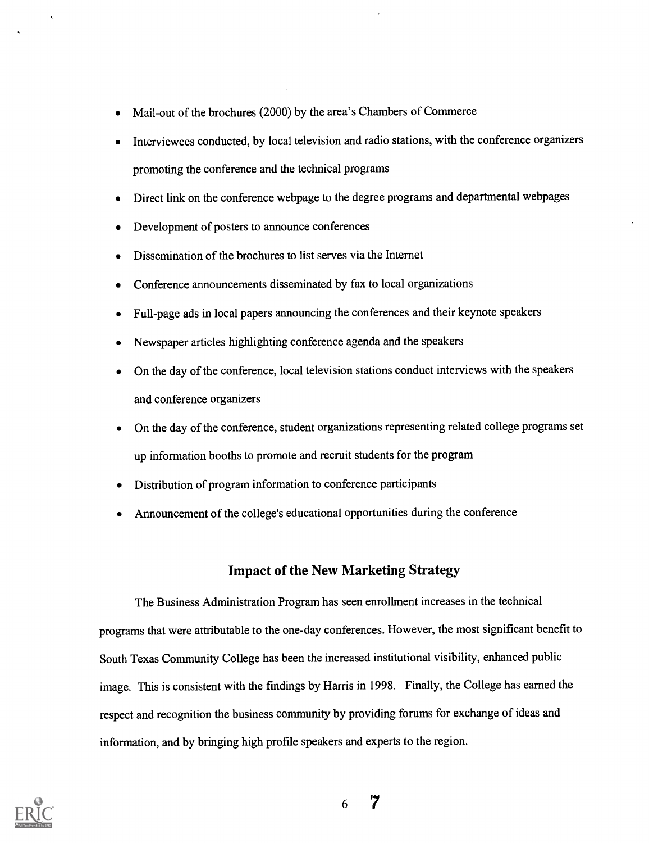- Mail-out of the brochures (2000) by the area's Chambers of Commerce  $\bullet$
- Interviewees conducted, by local television and radio stations, with the conference organizers promoting the conference and the technical programs
- Direct link on the conference webpage to the degree programs and departmental webpages
- Development of posters to announce conferences
- Dissemination of the brochures to list serves via the Internet  $\bullet$
- Conference announcements disseminated by fax to local organizations
- Full-page ads in local papers announcing the conferences and their keynote speakers
- Newspaper articles highlighting conference agenda and the speakers
- On the day of the conference, local television stations conduct interviews with the speakers and conference organizers
- On the day of the conference, student organizations representing related college programs set up information booths to promote and recruit students for the program
- Distribution of program information to conference participants
- Announcement of the college's educational opportunities during the conference

### Impact of the New Marketing Strategy

The Business Administration Program has seen enrollment increases in the technical programs that were attributable to the one-day conferences. However, the most significant benefit to South Texas Community College has been the increased institutional visibility, enhanced public image. This is consistent with the findings by Harris in 1998. Finally, the College has earned the respect and recognition the business community by providing forums for exchange of ideas and information, and by bringing high profile speakers and experts to the region.

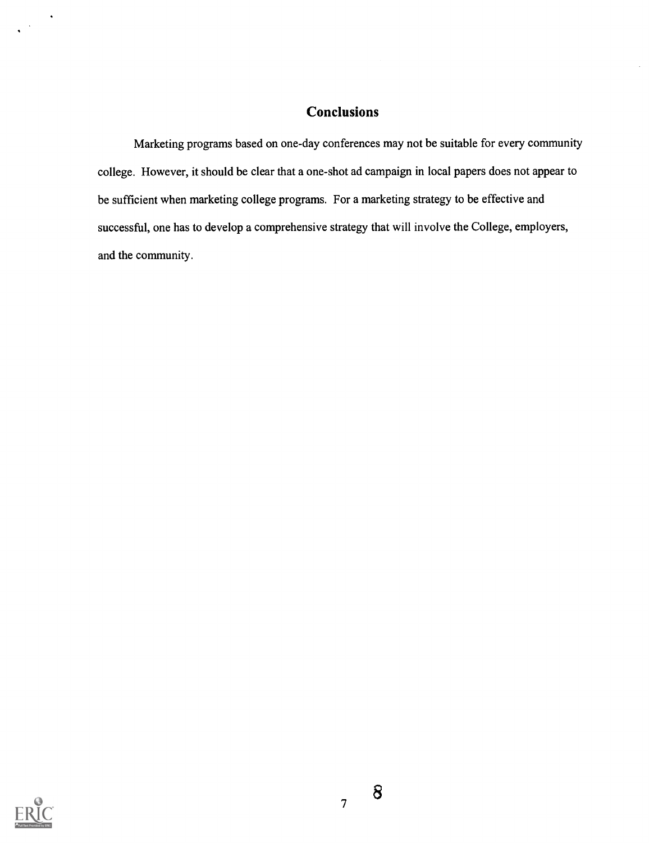## **Conclusions**

Marketing programs based on one-day conferences may not be suitable for every community college. However, it should be clear that a one-shot ad campaign in local papers does not appear to be sufficient when marketing college programs. For a marketing strategy to be effective and successful, one has to develop a comprehensive strategy that will involve the College, employers, and the community.



8

7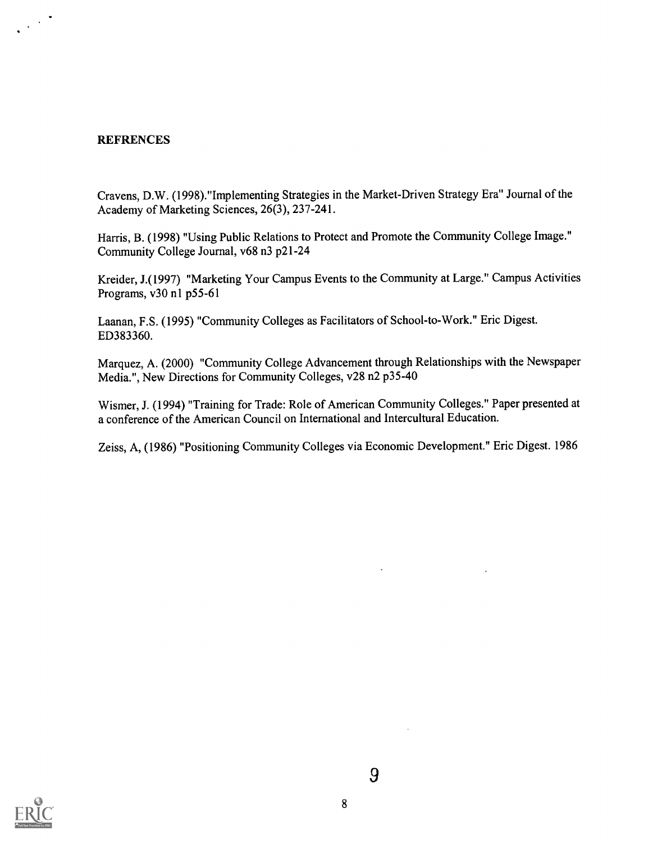#### **REFRENCES**

 $\frac{1}{2} \left( \frac{1}{2} \right)^{\frac{1}{2}} \frac{1}{2} \left( \frac{1}{2} \right)^{\frac{1}{2}}$ 

Cravens, D.W. (1998)."Implementing Strategies in the Market-Driven Strategy Era" Journal of the Academy of Marketing Sciences, 26(3), 237-241.

Harris, B. (1998) "Using Public Relations to Protect and Promote the Community College Image." Community College Journal, v68 n3 p21-24

Kreider, J.(1997) "Marketing Your Campus Events to the Community at Large." Campus Activities Programs, v30 n1 p55-61

Laanan, F.S. (1995) "Community Colleges as Facilitators of School-to-Work." Eric Digest. ED383360.

Marquez, A. (2000) "Community College Advancement through Relationships with the Newspaper Media.", New Directions for Community Colleges, v28 n2 p35-40

Wismer, J. (1994) "Training for Trade: Role of American Community Colleges." Paper presented at a conference of the American Council on International and Intercultural Education.

Zeiss, A, (1986) "Positioning Community Colleges via Economic Development." Eric Digest. 1986

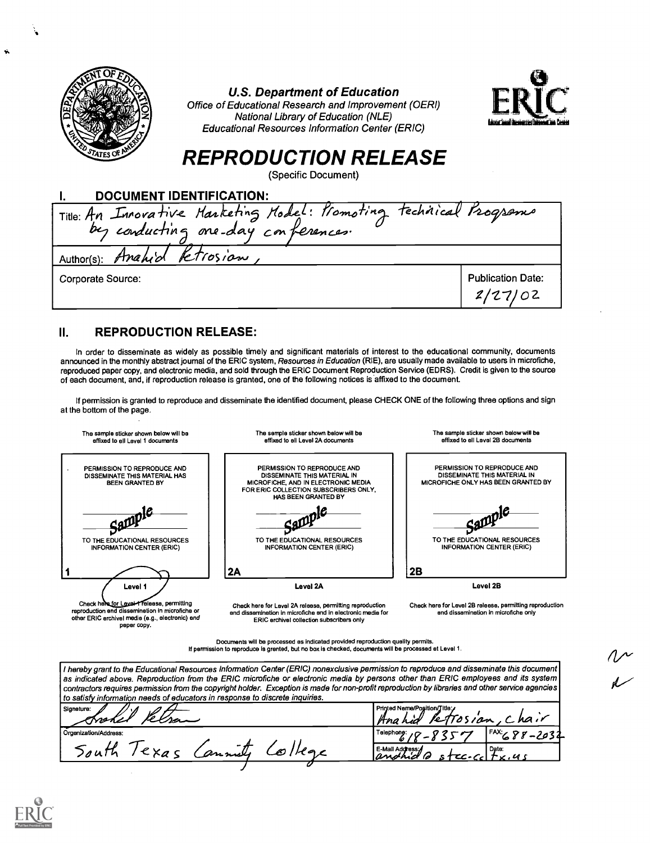| <b>U.S. Department of Education</b><br>Office of Educational Research and Improvement (OERI)<br>National Library of Education (NLE)<br><b>Educational Resources Information Center (ERIC)</b><br>STATES OF<br><b>REPRODUCTION RELEASE</b><br>(Specific Document) | المتحفظ المت             |
|------------------------------------------------------------------------------------------------------------------------------------------------------------------------------------------------------------------------------------------------------------------|--------------------------|
| <b>DOCUMENT IDENTIFICATION:</b>                                                                                                                                                                                                                                  |                          |
| Title: An Innovative Marketing Model: Promoting technical Programs                                                                                                                                                                                               |                          |
| Anahid Fetrosian,<br>Author(s):                                                                                                                                                                                                                                  |                          |
| Corporate Source:                                                                                                                                                                                                                                                | <b>Publication Date:</b> |

### II. REPRODUCTION RELEASE:

paper copy.

In order to disseminate as widely as possible timely and significant materials of interest to the educational community, documents announced in the monthly abstract journal of the ERIC system, Resources in Education (RIE), are usually made available to users in microfiche, reproduced paper copy, and electronic media, and sold through the ERIC Document Reproduction Service (EDRS). Credit is given to the source of each document, and, if reproduction release is granted, one of the following notices is affixed to the document.

If permission is granted to reproduce and disseminate the identified document, please CHECK ONE of the following three options and sign at the bottom of the page.

| The sample sticker shown below will be<br>effixed to all Level 1 documents                                                                       | The semple sticker shown below will be<br>affixed to all Lavel 2A documents                                                                                               | The sample sticker shown below will be<br>affixed to all Level 2B documents                        |
|--------------------------------------------------------------------------------------------------------------------------------------------------|---------------------------------------------------------------------------------------------------------------------------------------------------------------------------|----------------------------------------------------------------------------------------------------|
| PERMISSION TO REPRODUCE AND<br>DISSEMINATE THIS MATERIAL HAS<br>BEEN GRANTED BY                                                                  | PERMISSION TO REPRODUCE AND<br>DISSEMINATE THIS MATERIAL IN<br>MICROFICHE, AND IN ELECTRONIC MEDIA<br>FOR ERIC COLLECTION SUBSCRIBERS ONLY,<br><b>HAS BEEN GRANTED BY</b> | PERMISSION TO REPRODUCE AND<br>DISSEMINATE THIS MATERIAL IN<br>MICROFICHE ONLY HAS BEEN GRANTED BY |
| TO THE EDUCATIONAL RESOURCES<br><b>INFORMATION CENTER (ERIC)</b>                                                                                 | TO THE EDUCATIONAL RESOURCES<br><b>INFORMATION CENTER (ERIC)</b>                                                                                                          | TO THE EDUCATIONAL RESOURCES<br><b>INFORMATION CENTER (ERIC)</b>                                   |
|                                                                                                                                                  | 2A                                                                                                                                                                        | 2B                                                                                                 |
| Level 1                                                                                                                                          | Level 2A                                                                                                                                                                  | Level 2B                                                                                           |
| Chack here for Lavel Treleese, permitting<br>reproduction end dissemination in microfiche or<br>other ERIC erchivel medie (e.g., electronic) and | Check here for Level 2A releese, permitting reproduction<br>and dissemination in microfiche and in electronic media for<br>ERIC archival collection subscribers only      | Chack here for Level 2B releese, permitting reproduction<br>and dissemination in microfiche only   |

Documents will be processed as indicated provided reproduction quality permits. If permission to reproduce is granted, but no box is checked, documents will be processed at Level 1.

I hereby grant to the Educational Resources Information Center (ERIC) nonexclusive permission to reproduce and disseminate this document as indicated above. Reproduction from the ERIC microfiche or electronic media by persons other than ERIC employees and its system assumed above. Reproduction from the ERIC microfiche or electronic media by persons other th contractors requires permission from the copyright holder. Exception is made for non-profit reproduction by libraries and other service agencies to satisfy information needs of educators in response to discrete inquiries.

| , to salisty hilofination needs or educators in response to ulscrete inquirios.<br>Signeture:<br>v<br>emokel | Printed Name/Position/Title:<br>hair<br><i>lettosian</i><br>Ana hid<br>ັ |
|--------------------------------------------------------------------------------------------------------------|--------------------------------------------------------------------------|
| Orgenization/Address:                                                                                        | $FAX \rightarrow \sigma \sigma$<br>r Telephone: , <i>r</i>               |
| 10uH<br>annely<br>$1 \epsilon$ $\times a$<br>College                                                         | E-Mail Address: √<br>Date:<br>tx.us<br>anohid o<br>$CC-Cc1$              |
|                                                                                                              |                                                                          |

ř,

Ń.